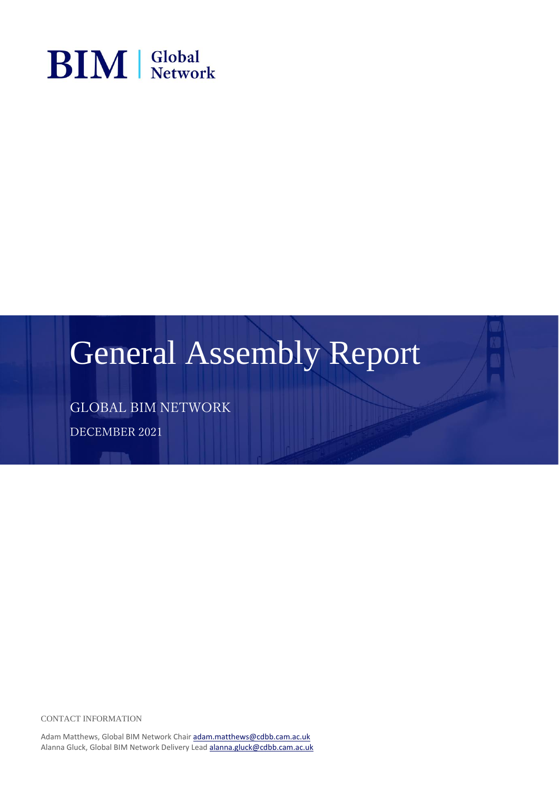

### General Assembly Report

GLOBAL BIM NETWORK

DECEMBER 2021

CONTACT INFORMATION

Adam Matthews, Global BIM Network Chair [adam.matthews@cdbb.cam.ac.uk](mailto:adam.matthews@cdbb.cam.ac.uk) Alanna Gluck, Global BIM Network Delivery Lea[d alanna.gluck@cdbb.cam.ac.uk](mailto:alanna.gluck@cdbb.cam.ac.uk)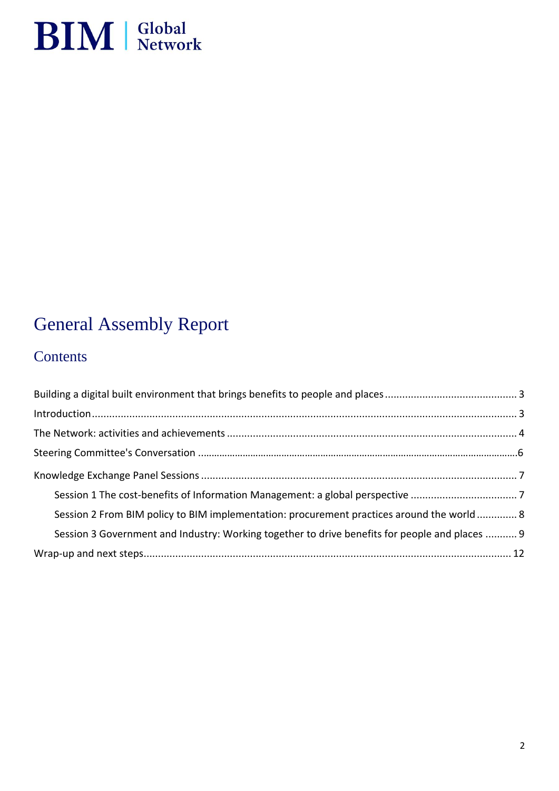

### General Assembly Report

### **Contents**

| Session 2 From BIM policy to BIM implementation: procurement practices around the world 8      |  |
|------------------------------------------------------------------------------------------------|--|
| Session 3 Government and Industry: Working together to drive benefits for people and places  9 |  |
|                                                                                                |  |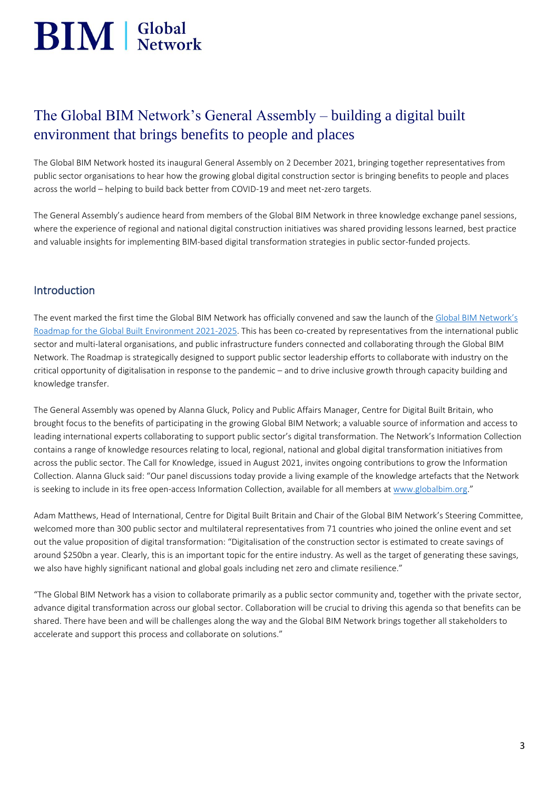# $\mathbf{BIM}$  Slobal

### <span id="page-2-0"></span>The Global BIM Network's General Assembly – building a digital built environment that brings benefits to people and places

The Global BIM Network hosted its inaugural General Assembly on 2 December 2021, bringing together representatives from public sector organisations to hear how the growing global digital construction sector is bringing benefits to people and places across the world – helping to build back better from COVID-19 and meet net-zero targets.

The General Assembly's audience heard from members of the Global BIM Network in three knowledge exchange panel sessions, where the experience of regional and national digital construction initiatives was shared providing lessons learned, best practice and valuable insights for implementing BIM-based digital transformation strategies in public sector-funded projects.

#### <span id="page-2-1"></span>Introduction

The event marked the first time the Global BIM Network has officially convened and saw the launch of the [Global BIM Network's](https://www.globalbim.org/roadmap)  [Roadmap for the Global Built Environment 2021-2025.](https://www.globalbim.org/roadmap) This has been co-created by representatives from the international public sector and multi-lateral organisations, and public infrastructure funders connected and collaborating through the Global BIM Network. The Roadmap is strategically designed to support public sector leadership efforts to collaborate with industry on the critical opportunity of digitalisation in response to the pandemic – and to drive inclusive growth through capacity building and knowledge transfer.

The General Assembly was opened by Alanna Gluck, Policy and Public Affairs Manager, Centre for Digital Built Britain, who brought focus to the benefits of participating in the growing Global BIM Network; a valuable source of information and access to leading international experts collaborating to support public sector's digital transformation. The Network's Information Collection contains a range of knowledge resources relating to local, regional, national and global digital transformation initiatives from across the public sector. The Call for Knowledge, issued in August 2021, invites ongoing contributions to grow the Information Collection. Alanna Gluck said: "Our panel discussions today provide a living example of the knowledge artefacts that the Network is seeking to include in its free open-access Information Collection, available for all members at [www.globalbim.org](http://www.globalbim.org/)."

Adam Matthews, Head of International, Centre for Digital Built Britain and Chair of the Global BIM Network's Steering Committee, welcomed more than 300 public sector and multilateral representatives from 71 countries who joined the online event and set out the value proposition of digital transformation: "Digitalisation of the construction sector is estimated to create savings of around \$250bn a year. Clearly, this is an important topic for the entire industry. As well as the target of generating these savings, we also have highly significant national and global goals including net zero and climate resilience."

"The Global BIM Network has a vision to collaborate primarily as a public sector community and, together with the private sector, advance digital transformation across our global sector. Collaboration will be crucial to driving this agenda so that benefits can be shared. There have been and will be challenges along the way and the Global BIM Network brings together all stakeholders to accelerate and support this process and collaborate on solutions."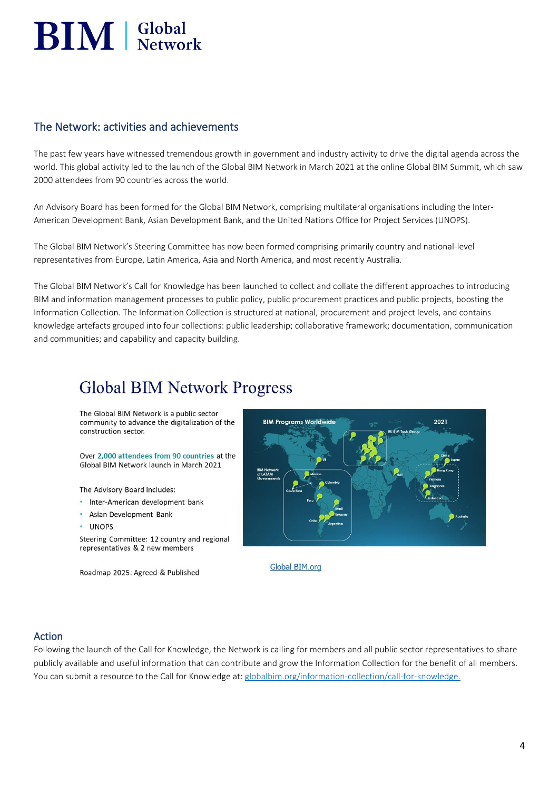# $\mathbf{BIM}$  |  $\mathbf{Slobal}$

#### <span id="page-3-0"></span>The Network: activities and achievements

The past few years have witnessed tremendous growth in government and industry activity to drive the digital agenda across the world. This global activity led to the launch of the Global BIM Network in March 2021 at the online Global BIM Summit, which saw 2000 attendees from 90 countries across the world.

An Advisory Board has been formed for the Global BIM Network, comprising multilateral organisations including the Inter-American Development Bank, Asian Development Bank, and the United Nations Office for Project Services (UNOPS).

The Global BIM Network's Steering Committee has now been formed comprising primarily country and national-level representatives from Europe, Latin America, Asia and North America, and most recently Australia.

The Global BIM Network's Call for Knowledge has been launched to collect and collate the different approaches to introducing BIM and information management processes to public policy, public procurement practices and public projects, boosting the Information Collection. The Information Collection is structured at national, procurement and project levels, and contains knowledge artefacts grouped into four collections: public leadership; collaborative framework; documentation, communication and communities; and capability and capacity building.

### **Global BIM Network Progress**

The Global BIM Network is a public sector community to advance the digitalization of the construction sector

Over 2,000 attendees from 90 countries at the Global BIM Network launch in March 2021

The Advisory Board includes:

- · Inter-American development bank
- Asian Development Bank
- $\cdot$  **IINOPS**

Steering Committee: 12 country and regional representatives & 2 new members

Roadmap 2025: Agreed & Published



Global BIM.org

#### Action

Following the launch of the Call for Knowledge, the Network is calling for members and all public sector representatives to share publicly available and useful information that can contribute and grow the Information Collection for the benefit of all members. You can submit a resource to the Call for Knowledge at: [globalbim.org/information-collection/call-for-knowledge.](https://www.globalbim.org/information-collection/call-for-knowledge)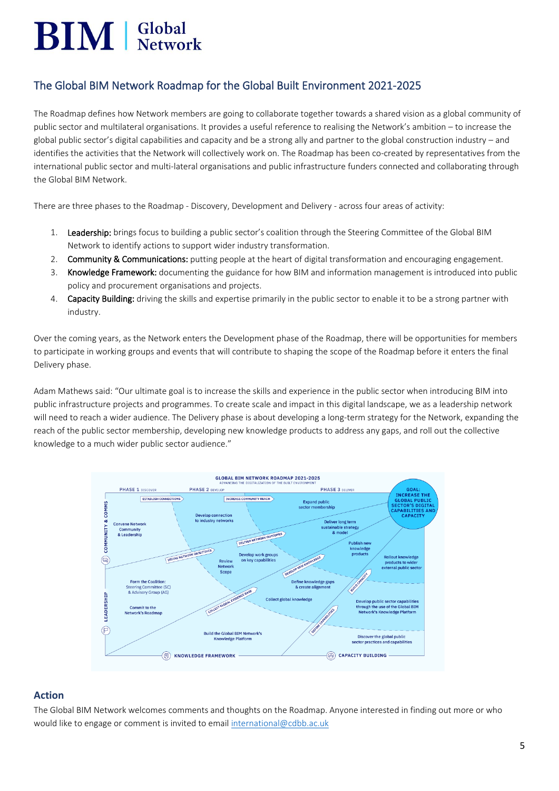## $\mathbf{BIM}$  Slobal

#### The Global BIM Network Roadmap for the Global Built Environment 2021-2025

The Roadmap defines how Network members are going to collaborate together towards a shared vision as a global community of public sector and multilateral organisations. It provides a useful reference to realising the Network's ambition – to increase the global public sector's digital capabilities and capacity and be a strong ally and partner to the global construction industry – and identifies the activities that the Network will collectively work on. The Roadmap has been co-created by representatives from the international public sector and multi-lateral organisations and public infrastructure funders connected and collaborating through the Global BIM Network.

There are three phases to the Roadmap - Discovery, Development and Delivery - across four areas of activity:

- 1. Leadership: brings focus to building a public sector's coalition through the Steering Committee of the Global BIM Network to identify actions to support wider industry transformation.
- 2. Community & Communications: putting people at the heart of digital transformation and encouraging engagement.
- 3. Knowledge Framework: documenting the guidance for how BIM and information management is introduced into public policy and procurement organisations and projects.
- 4. Capacity Building: driving the skills and expertise primarily in the public sector to enable it to be a strong partner with industry.

Over the coming years, as the Network enters the Development phase of the Roadmap, there will be opportunities for members to participate in working groups and events that will contribute to shaping the scope of the Roadmap before it enters the final Delivery phase.

Adam Mathews said: "Our ultimate goal is to increase the skills and experience in the public sector when introducing BIM into public infrastructure projects and programmes. To create scale and impact in this digital landscape, we as a leadership network will need to reach a wider audience. The Delivery phase is about developing a long-term strategy for the Network, expanding the reach of the public sector membership, developing new knowledge products to address any gaps, and roll out the collective knowledge to a much wider public sector audience."



#### **Action**

The Global BIM Network welcomes comments and thoughts on the Roadmap. Anyone interested in finding out more or who would like to engage or comment is invited to email [international@cdbb.ac.uk](mailto:international@cdbb.ac.uk)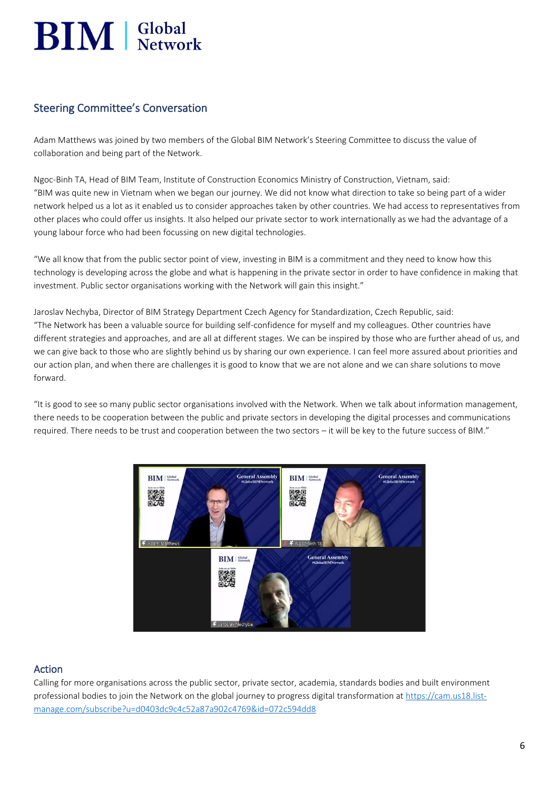# $\mathbf{BIM}$  |  $\mathbf{Slobal}$

#### Steering Committee's Conversation

Adam Matthews was joined by two members of the Global BIM Network's Steering Committee to discuss the value of collaboration and being part of the Network.

Ngoc-Binh TA, Head of BIM Team, Institute of Construction Economics Ministry of Construction, Vietnam, said: "BIM was quite new in Vietnam when we began our journey. We did not know what direction to take so being part of a wider network helped us a lot as it enabled us to consider approaches taken by other countries. We had access to representatives from other places who could offer us insights. It also helped our private sector to work internationally as we had the advantage of a young labour force who had been focussing on new digital technologies.

"We all know that from the public sector point of view, investing in BIM is a commitment and they need to know how this technology is developing across the globe and what is happening in the private sector in order to have confidence in making that investment. Public sector organisations working with the Network will gain this insight."

Jaroslav Nechyba, Director of BIM Strategy Department Czech Agency for Standardization, Czech Republic, said: "The Network has been a valuable source for building self-confidence for myself and my colleagues. Other countries have different strategies and approaches, and are all at different stages. We can be inspired by those who are further ahead of us, and we can give back to those who are slightly behind us by sharing our own experience. I can feel more assured about priorities and our action plan, and when there are challenges it is good to know that we are not alone and we can share solutions to move forward.

"It is good to see so many public sector organisations involved with the Network. When we talk about information management, there needs to be cooperation between the public and private sectors in developing the digital processes and communications required. There needs to be trust and cooperation between the two sectors – it will be key to the future success of BIM."



#### Action

Calling for more organisations across the public sector, private sector, academia, standards bodies and built environment professional bodies to join the Network on the global journey to progress digital transformation at [https://cam.us18.list](https://cam.us18.list-manage.com/subscribe?u=d0403dc9c4c52a87a902c4769&id=072c594dd8)[manage.com/subscribe?u=d0403dc9c4c52a87a902c4769&id=072c594dd8](https://cam.us18.list-manage.com/subscribe?u=d0403dc9c4c52a87a902c4769&id=072c594dd8)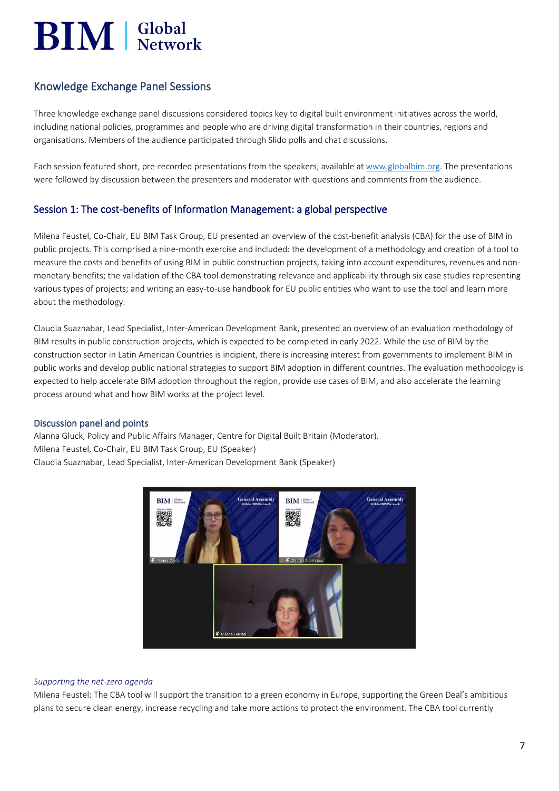### $\mathbf{BIM}$  |  $\mathbf{Slobal}$

#### <span id="page-6-0"></span>Knowledge Exchange Panel Sessions

Three knowledge exchange panel discussions considered topics key to digital built environment initiatives across the world, including national policies, programmes and people who are driving digital transformation in their countries, regions and organisations. Members of the audience participated through Slido polls and chat discussions.

Each session featured short, pre-recorded presentations from the speakers, available at [www.globalbim.org.](http://www.globalbim.org/) The presentations were followed by discussion between the presenters and moderator with questions and comments from the audience.

#### <span id="page-6-1"></span>Session 1: The cost-benefits of Information Management: a global perspective

Milena Feustel, Co-Chair, EU BIM Task Group, EU presented an overview of the cost-benefit analysis (CBA) for the use of BIM in public projects. This comprised a nine-month exercise and included: the development of a methodology and creation of a tool to measure the costs and benefits of using BIM in public construction projects, taking into account expenditures, revenues and nonmonetary benefits; the validation of the CBA tool demonstrating relevance and applicability through six case studies representing various types of projects; and writing an easy-to-use handbook for EU public entities who want to use the tool and learn more about the methodology.

Claudia Suaznabar, Lead Specialist, Inter-American Development Bank, presented an overview of an evaluation methodology of BIM results in public construction projects, which is expected to be completed in early 2022. While the use of BIM by the construction sector in Latin American Countries is incipient, there is increasing interest from governments to implement BIM in public works and develop public national strategies to support BIM adoption in different countries. The evaluation methodology is expected to help accelerate BIM adoption throughout the region, provide use cases of BIM, and also accelerate the learning process around what and how BIM works at the project level.

#### Discussion panel and points

Alanna Gluck, Policy and Public Affairs Manager, Centre for Digital Built Britain (Moderator). Milena Feustel, Co-Chair, EU BIM Task Group, EU (Speaker) Claudia Suaznabar, Lead Specialist, Inter-American Development Bank (Speaker)



#### *Supporting the net-zero agenda*

Milena Feustel: The CBA tool will support the transition to a green economy in Europe, supporting the Green Deal's ambitious plans to secure clean energy, increase recycling and take more actions to protect the environment. The CBA tool currently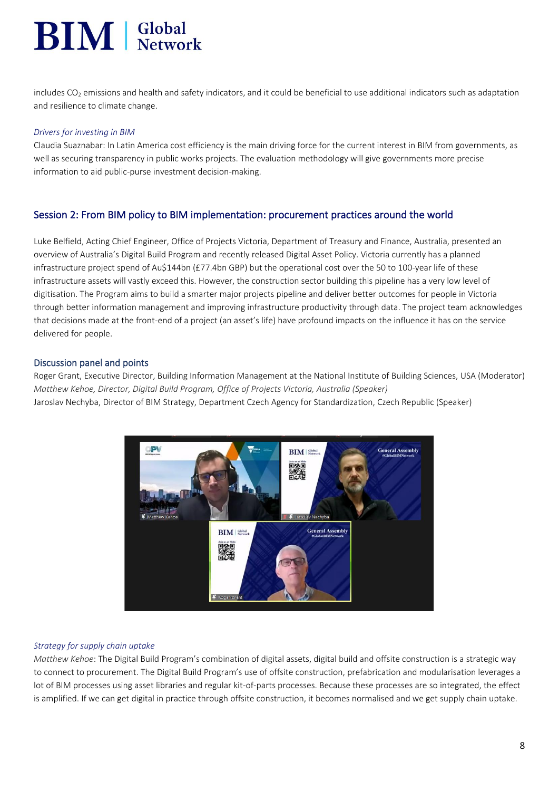### $\text{BIM}$  | Global

includes  $CO<sub>2</sub>$  emissions and health and safety indicators, and it could be beneficial to use additional indicators such as adaptation and resilience to climate change.

#### *Drivers for investing in BIM*

Claudia Suaznabar: In Latin America cost efficiency is the main driving force for the current interest in BIM from governments, as well as securing transparency in public works projects. The evaluation methodology will give governments more precise information to aid public-purse investment decision-making.

#### <span id="page-7-0"></span>Session 2: From BIM policy to BIM implementation: procurement practices around the world

Luke Belfield, Acting Chief Engineer, Office of Projects Victoria, Department of Treasury and Finance, Australia, presented an overview of Australia's Digital Build Program and recently released Digital Asset Policy. Victoria currently has a planned infrastructure project spend of Au\$144bn (£77.4bn GBP) but the operational cost over the 50 to 100-year life of these infrastructure assets will vastly exceed this. However, the construction sector building this pipeline has a very low level of digitisation. The Program aims to build a smarter major projects pipeline and deliver better outcomes for people in Victoria through better information management and improving infrastructure productivity through data. The project team acknowledges that decisions made at the front-end of a project (an asset's life) have profound impacts on the influence it has on the service delivered for people.

#### Discussion panel and points

Roger Grant, Executive Director, Building Information Management at the National Institute of Building Sciences, USA (Moderator) *Matthew Kehoe, Director, Digital Build Program, Office of Projects Victoria, Australia (Speaker)* Jaroslav Nechyba, Director of BIM Strategy, Department Czech Agency for Standardization, Czech Republic (Speaker)



#### *Strategy for supply chain uptake*

*Matthew Kehoe*: The Digital Build Program's combination of digital assets, digital build and offsite construction is a strategic way to connect to procurement. The Digital Build Program's use of offsite construction, prefabrication and modularisation leverages a lot of BIM processes using asset libraries and regular kit-of-parts processes. Because these processes are so integrated, the effect is amplified. If we can get digital in practice through offsite construction, it becomes normalised and we get supply chain uptake.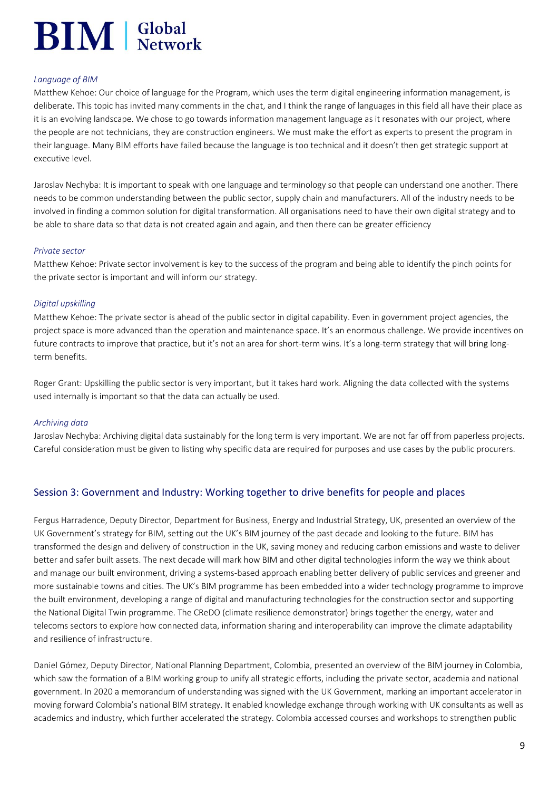## $\mathbf{BIM}$  Slobal

#### *Language of BIM*

Matthew Kehoe: Our choice of language for the Program, which uses the term digital engineering information management, is deliberate. This topic has invited many comments in the chat, and I think the range of languages in this field all have their place as it is an evolving landscape. We chose to go towards information management language as it resonates with our project, where the people are not technicians, they are construction engineers. We must make the effort as experts to present the program in their language. Many BIM efforts have failed because the language is too technical and it doesn't then get strategic support at executive level.

Jaroslav Nechyba: It is important to speak with one language and terminology so that people can understand one another. There needs to be common understanding between the public sector, supply chain and manufacturers. All of the industry needs to be involved in finding a common solution for digital transformation. All organisations need to have their own digital strategy and to be able to share data so that data is not created again and again, and then there can be greater efficiency

#### *Private sector*

Matthew Kehoe: Private sector involvement is key to the success of the program and being able to identify the pinch points for the private sector is important and will inform our strategy.

#### *Digital upskilling*

Matthew Kehoe: The private sector is ahead of the public sector in digital capability. Even in government project agencies, the project space is more advanced than the operation and maintenance space. It's an enormous challenge. We provide incentives on future contracts to improve that practice, but it's not an area for short-term wins. It's a long-term strategy that will bring longterm benefits.

Roger Grant: Upskilling the public sector is very important, but it takes hard work. Aligning the data collected with the systems used internally is important so that the data can actually be used.

#### *Archiving data*

<span id="page-8-0"></span>Jaroslav Nechyba: Archiving digital data sustainably for the long term is very important. We are not far off from paperless projects. Careful consideration must be given to listing why specific data are required for purposes and use cases by the public procurers.

#### Session 3: Government and Industry: Working together to drive benefits for people and places

Fergus Harradence, Deputy Director, Department for Business, Energy and Industrial Strategy, UK, presented an overview of the UK Government's strategy for BIM, setting out the UK's BIM journey of the past decade and looking to the future. BIM has transformed the design and delivery of construction in the UK, saving money and reducing carbon emissions and waste to deliver better and safer built assets. The next decade will mark how BIM and other digital technologies inform the way we think about and manage our built environment, driving a systems-based approach enabling better delivery of public services and greener and more sustainable towns and cities. The UK's BIM programme has been embedded into a wider technology programme to improve the built environment, developing a range of digital and manufacturing technologies for the construction sector and supporting the National Digital Twin programme. The CReDO (climate resilience demonstrator) brings together the energy, water and telecoms sectors to explore how connected data, information sharing and interoperability can improve the climate adaptability and resilience of infrastructure.

Daniel Gómez, Deputy Director, National Planning Department, Colombia, presented an overview of the BIM journey in Colombia, which saw the formation of a BIM working group to unify all strategic efforts, including the private sector, academia and national government. In 2020 a memorandum of understanding was signed with the UK Government, marking an important accelerator in moving forward Colombia's national BIM strategy. It enabled knowledge exchange through working with UK consultants as well as academics and industry, which further accelerated the strategy. Colombia accessed courses and workshops to strengthen public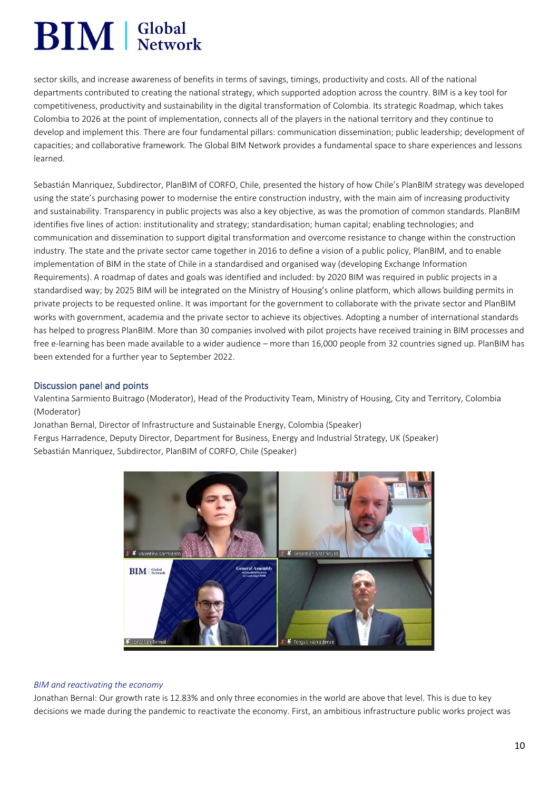## **BIM** Setwork

sector skills, and increase awareness of benefits in terms of savings, timings, productivity and costs. All of the national departments contributed to creating the national strategy, which supported adoption across the country. BIM is a key tool for competitiveness, productivity and sustainability in the digital transformation of Colombia. Its strategic Roadmap, which takes Colombia to 2026 at the point of implementation, connects all of the players in the national territory and they continue to develop and implement this. There are four fundamental pillars: communication dissemination; public leadership; development of capacities; and collaborative framework. The Global BIM Network provides a fundamental space to share experiences and lessons learned.

Sebastián Manriquez, Subdirector, PlanBIM of CORFO, Chile, presented the history of how Chile's PlanBIM strategy was developed using the state's purchasing power to modernise the entire construction industry, with the main aim of increasing productivity and sustainability. Transparency in public projects was also a key objective, as was the promotion of common standards. PlanBIM identifies five lines of action: institutionality and strategy; standardisation; human capital; enabling technologies; and communication and dissemination to support digital transformation and overcome resistance to change within the construction industry. The state and the private sector came together in 2016 to define a vision of a public policy, PlanBIM, and to enable implementation of BIM in the state of Chile in a standardised and organised way (developing Exchange Information Requirements). A roadmap of dates and goals was identified and included: by 2020 BIM was required in public projects in a standardised way; by 2025 BIM will be integrated on the Ministry of Housing's online platform, which allows building permits in private projects to be requested online. It was important for the government to collaborate with the private sector and PlanBIM works with government, academia and the private sector to achieve its objectives. Adopting a number of international standards has helped to progress PlanBIM. More than 30 companies involved with pilot projects have received training in BIM processes and free e-learning has been made available to a wider audience – more than 16,000 people from 32 countries signed up. PlanBIM has been extended for a further year to September 2022.

#### Discussion panel and points

Valentina Sarmiento Buitrago (Moderator), Head of the Productivity Team, Ministry of Housing, City and Territory, Colombia (Moderator)

Jonathan Bernal, Director of Infrastructure and Sustainable Energy, Colombia (Speaker) Fergus Harradence, Deputy Director, Department for Business, Energy and Industrial Strategy, UK (Speaker) Sebastián Manriquez, Subdirector, PlanBIM of CORFO, Chile (Speaker)



#### *BIM and reactivating the economy*

Jonathan Bernal: Our growth rate is 12.83% and only three economies in the world are above that level. This is due to key decisions we made during the pandemic to reactivate the economy. First, an ambitious infrastructure public works project was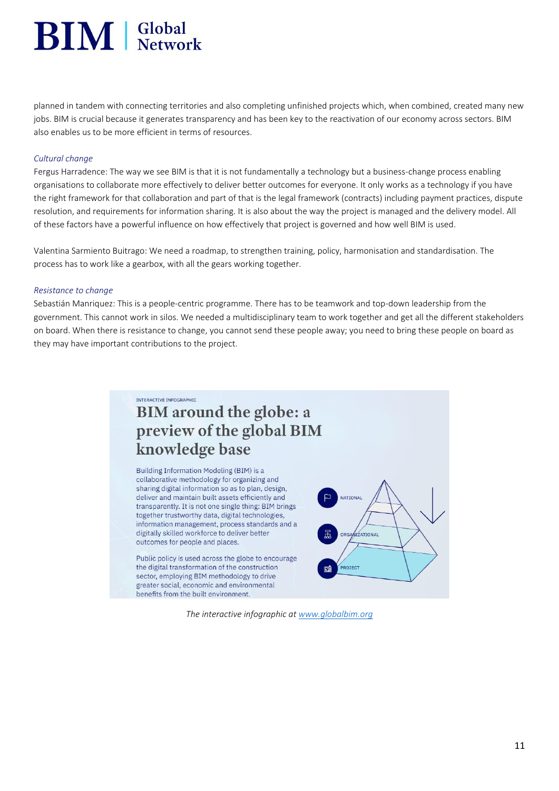# $\text{BIM}$  | Global

planned in tandem with connecting territories and also completing unfinished projects which, when combined, created many new jobs. BIM is crucial because it generates transparency and has been key to the reactivation of our economy across sectors. BIM also enables us to be more efficient in terms of resources.

#### *Cultural change*

Fergus Harradence: The way we see BIM is that it is not fundamentally a technology but a business-change process enabling organisations to collaborate more effectively to deliver better outcomes for everyone. It only works as a technology if you have the right framework for that collaboration and part of that is the legal framework (contracts) including payment practices, dispute resolution, and requirements for information sharing. It is also about the way the project is managed and the delivery model. All of these factors have a powerful influence on how effectively that project is governed and how well BIM is used.

Valentina Sarmiento Buitrago: We need a roadmap, to strengthen training, policy, harmonisation and standardisation. The process has to work like a gearbox, with all the gears working together.

#### *Resistance to change*

Sebastián Manriquez: This is a people-centric programme. There has to be teamwork and top-down leadership from the government. This cannot work in silos. We needed a multidisciplinary team to work together and get all the different stakeholders on board. When there is resistance to change, you cannot send these people away; you need to bring these people on board as they may have important contributions to the project.



*The interactive infographic at [www.globalbim.org](http://www.globalbim.org/)*